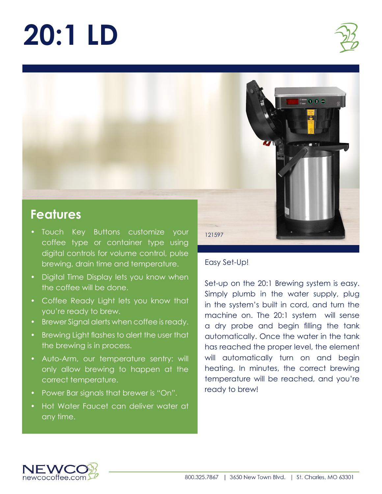# **20:1 LD**





## **Features**

- Touch Key Buttons customize your coffee type or container type using digital controls for volume control, pulse brewing, drain time and temperature.
- Digital Time Display lets you know when the coffee will be done.
- Coffee Ready Light lets you know that you're ready to brew.
- Brewer Signal alerts when coffee is ready.
- Brewing Light flashes to alert the user that the brewing is in process.
- Auto-Arm, our temperature sentry: will only allow brewing to happen at the correct temperature.
- Power Bar signals that brewer is "On".
- Hot Water Faucet can deliver water at any time.

121597

#### Easy Set-Up!

Set-up on the 20:1 Brewing system is easy. Simply plumb in the water supply, plug in the system's built in cord, and turn the machine on. The 20:1 system will sense a dry probe and begin filling the tank automatically. Once the water in the tank has reached the proper level, the element will automatically turn on and begin heating. In minutes, the correct brewing temperature will be reached, and you're ready to brew!